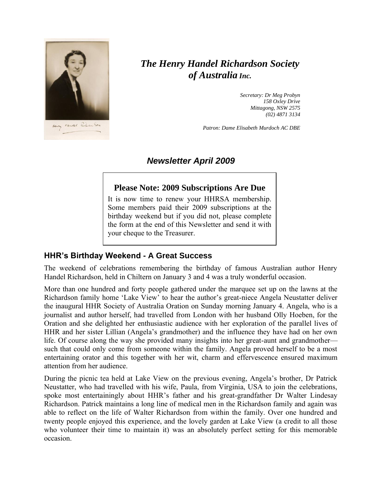

# *The Henry Handel Richardson Society of Australia Inc.*

*Secretary: Dr Meg Probyn 158 Oxley Drive Mittagong, NSW 2575 (02) 4871 3134*

*Patron: Dame Elisabeth Murdoch AC DBE*

# *Newsletter April 2009*

#### **Please Note: 2009 Subscriptions Are Due**

It is now time to renew your HHRSA membership. Some members paid their 2009 subscriptions at the birthday weekend but if you did not, please complete the form at the end of this Newsletter and send it with your cheque to the Treasurer.

#### **HHR's Birthday Weekend - A Great Success**

The weekend of celebrations remembering the birthday of famous Australian author Henry Handel Richardson, held in Chiltern on January 3 and 4 was a truly wonderful occasion.

More than one hundred and forty people gathered under the marquee set up on the lawns at the Richardson family home 'Lake View' to hear the author's great-niece Angela Neustatter deliver the inaugural HHR Society of Australia Oration on Sunday morning January 4. Angela, who is a journalist and author herself, had travelled from London with her husband Olly Hoeben, for the Oration and she delighted her enthusiastic audience with her exploration of the parallel lives of HHR and her sister Lillian (Angela's grandmother) and the influence they have had on her own life. Of course along the way she provided many insights into her great-aunt and grandmother such that could only come from someone within the family. Angela proved herself to be a most entertaining orator and this together with her wit, charm and effervescence ensured maximum attention from her audience.

During the picnic tea held at Lake View on the previous evening, Angela's brother, Dr Patrick Neustatter, who had travelled with his wife, Paula, from Virginia, USA to join the celebrations, spoke most entertainingly about HHR's father and his great-grandfather Dr Walter Lindesay Richardson. Patrick maintains a long line of medical men in the Richardson family and again was able to reflect on the life of Walter Richardson from within the family. Over one hundred and twenty people enjoyed this experience, and the lovely garden at Lake View (a credit to all those who volunteer their time to maintain it) was an absolutely perfect setting for this memorable occasion.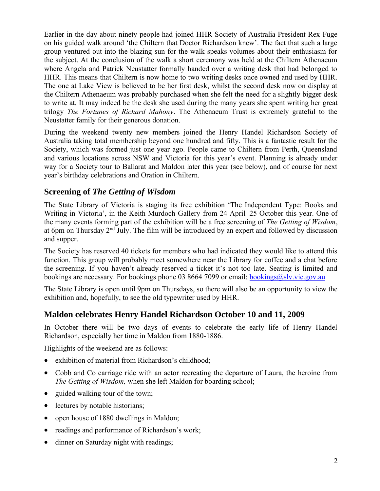Earlier in the day about ninety people had joined HHR Society of Australia President Rex Fuge on his guided walk around 'the Chiltern that Doctor Richardson knew'. The fact that such a large group ventured out into the blazing sun for the walk speaks volumes about their enthusiasm for the subject. At the conclusion of the walk a short ceremony was held at the Chiltern Athenaeum where Angela and Patrick Neustatter formally handed over a writing desk that had belonged to HHR. This means that Chiltern is now home to two writing desks once owned and used by HHR. The one at Lake View is believed to be her first desk, whilst the second desk now on display at the Chiltern Athenaeum was probably purchased when she felt the need for a slightly bigger desk to write at. It may indeed be the desk she used during the many years she spent writing her great trilogy *The Fortunes of Richard Mahony*. The Athenaeum Trust is extremely grateful to the Neustatter family for their generous donation.

During the weekend twenty new members joined the Henry Handel Richardson Society of Australia taking total membership beyond one hundred and fifty. This is a fantastic result for the Society, which was formed just one year ago. People came to Chiltern from Perth, Queensland and various locations across NSW and Victoria for this year's event. Planning is already under way for a Society tour to Ballarat and Maldon later this year (see below), and of course for next year's birthday celebrations and Oration in Chiltern.

# **Screening of** *The Getting of Wisdom*

The State Library of Victoria is staging its free exhibition 'The Independent Type: Books and Writing in Victoria', in the Keith Murdoch Gallery from 24 April–25 October this year. One of the many events forming part of the exhibition will be a free screening of *The Getting of Wisdom*, at 6pm on Thursday  $2<sup>nd</sup>$  July. The film will be introduced by an expert and followed by discussion and supper.

The Society has reserved 40 tickets for members who had indicated they would like to attend this function. This group will probably meet somewhere near the Library for coffee and a chat before the screening. If you haven't already reserved a ticket it's not too late. Seating is limited and bookings are necessary. For bookings phone 03 8664 7099 or email: [bookings@slv.vic.gov.au](mailto:bookings@slv.vic.gov.au)

The State Library is open until 9pm on Thursdays, so there will also be an opportunity to view the exhibition and, hopefully, to see the old typewriter used by HHR.

# **Maldon celebrates Henry Handel Richardson October 10 and 11, 2009**

In October there will be two days of events to celebrate the early life of Henry Handel Richardson, especially her time in Maldon from 1880-1886.

Highlights of the weekend are as follows:

- exhibition of material from Richardson's childhood;
- Cobb and Co carriage ride with an actor recreating the departure of Laura, the heroine from *The Getting of Wisdom,* when she left Maldon for boarding school;
- guided walking tour of the town;
- lectures by notable historians;
- open house of 1880 dwellings in Maldon;
- readings and performance of Richardson's work;
- dinner on Saturday night with readings;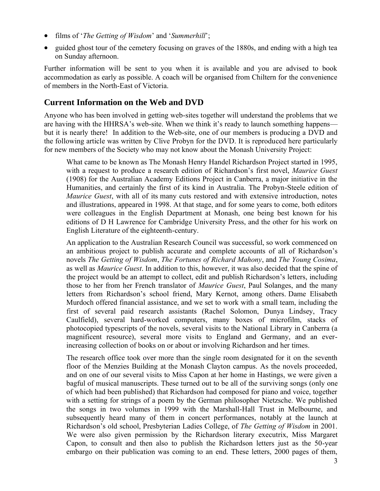- films of '*The Getting of Wisdom*' and '*Summerhill*';
- guided ghost tour of the cemetery focusing on graves of the 1880s, and ending with a high tea on Sunday afternoon.

Further information will be sent to you when it is available and you are advised to book accommodation as early as possible. A coach will be organised from Chiltern for the convenience of members in the North-East of Victoria.

### **Current Information on the Web and DVD**

Anyone who has been involved in getting web-sites together will understand the problems that we are having with the HHRSA's web-site. When we think it's ready to launch something happens but it is nearly there! In addition to the Web-site, one of our members is producing a DVD and the following article was written by Clive Probyn for the DVD. It is reproduced here particularly for new members of the Society who may not know about the Monash University Project:

What came to be known as The Monash Henry Handel Richardson Project started in 1995, with a request to produce a research edition of Richardson's first novel, *Maurice Guest* (1908) for the Australian Academy Editions Project in Canberra, a major initiative in the Humanities, and certainly the first of its kind in Australia. The Probyn-Steele edition of *Maurice Guest*, with all of its many cuts restored and with extensive introduction, notes and illustrations, appeared in 1998. At that stage, and for some years to come, both editors were colleagues in the English Department at Monash, one being best known for his editions of D H Lawrence for Cambridge University Press, and the other for his work on English Literature of the eighteenth-century.

An application to the Australian Research Council was successful, so work commenced on an ambitious project to publish accurate and complete accounts of all of Richardson's novels *The Getting of Wisdom*, *The Fortunes of Richard Mahony*, and *The Young Cosima*, as well as *Maurice Guest*. In addition to this, however, it was also decided that the spine of the project would be an attempt to collect, edit and publish Richardson's letters, including those to her from her French translator of *Maurice Guest*, Paul Solanges, and the many letters from Richardson's school friend, Mary Kernot, among others. Dame Elisabeth Murdoch offered financial assistance, and we set to work with a small team, including the first of several paid research assistants (Rachel Solomon, Dunya Lindsey, Tracy Caulfield), several hard-worked computers, many boxes of microfilm, stacks of photocopied typescripts of the novels, several visits to the National Library in Canberra (a magnificent resource), several more visits to England and Germany, and an everincreasing collection of books on or about or involving Richardson and her times.

The research office took over more than the single room designated for it on the seventh floor of the Menzies Building at the Monash Clayton campus. As the novels proceeded, and on one of our several visits to Miss Capon at her home in Hastings, we were given a bagful of musical manuscripts. These turned out to be all of the surviving songs (only one of which had been published) that Richardson had composed for piano and voice, together with a setting for strings of a poem by the German philosopher Nietzsche. We published the songs in two volumes in 1999 with the Marshall-Hall Trust in Melbourne, and subsequently heard many of them in concert performances, notably at the launch at Richardson's old school, Presbyterian Ladies College, of *The Getting of Wisdom* in 2001. We were also given permission by the Richardson literary executrix, Miss Margaret Capon, to consult and then also to publish the Richardson letters just as the 50-year embargo on their publication was coming to an end. These letters, 2000 pages of them,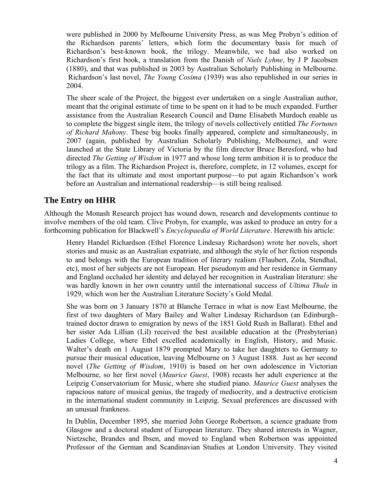were published in 2000 by Melbourne University Press, as was Meg Probyn's edition of the Richardson parents' letters, which form the documentary basis for much of Richardson's best-known book, the trilogy. Meanwhile, we had also worked on Richardson's first book, a translation from the Danish of *Niels Lyhne*, by J P Jacobsen (1880), and that was published in 2003 by Australian Scholarly Publishing in Melbourne. Richardson's last novel, *The Young Cosima* (1939) was also republished in our series in 2004.

The sheer scale of the Project, the biggest ever undertaken on a single Australian author, meant that the original estimate of time to be spent on it had to be much expanded. Further assistance from the Australian Research Council and Dame Elisabeth Murdoch enable us to complete the biggest single item, the trilogy of novels collectively entitled *The Fortunes of Richard Mahony*. These big books finally appeared, complete and simultaneously, in 2007 (again, published by Australian Scholarly Publishing, Melbourne), and were launched at the State Library of Victoria by the film director Bruce Beresford, who had directed *The Getting of Wisdom* in 1977 and whose long term ambition it is to produce the trilogy as a film. The Richardson Project is, therefore, complete, in 12 volumes, except for the fact that its ultimate and most important purpose—to put again Richardson's work before an Australian and international readership—is still being realised.

## **The Entry on HHR**

Although the Monash Research project has wound down, research and developments continue to involve members of the old team. Clive Probyn, for example, was asked to produce an entry for a forthcoming publication for Blackwell's *Encyclopaedia of World Literature*. Herewith his article:

Henry Handel Richardson (Ethel Florence Lindesay Richardson) wrote her novels, short stories and music as an Australian expatriate, and although the style of her fiction responds to and belongs with the European tradition of literary realism (Flaubert, Zola, Stendhal, etc), most of her subjects are not European. Her pseudonym and her residence in Germany and England occluded her identity and delayed her recognition in Australian literature: she was hardly known in her own country until the international success of *Ultima Thule* in 1929, which won her the Australian Literature Society's Gold Medal.

She was born on 3 January 1870 at Blanche Terrace in what is now East Melbourne, the first of two daughters of Mary Bailey and Walter Lindesay Richardson (an Edinburghtrained doctor drawn to emigration by news of the 1851 Gold Rush in Ballarat). Ethel and her sister Ada Lillian (Lil) received the best available education at the (Presbyterian) Ladies College, where Ethel excelled academically in English, History, and Music. Walter's death on 1 August 1879 prompted Mary to take her daughters to Germany to pursue their musical education, leaving Melbourne on 3 August 1888. Just as her second novel (*The Getting of Wisdom*, 1910) is based on her own adolescence in Victorian Melbourne, so her first novel (*Maurice Guest*, 1908) recasts her adult experience at the Leipzig Conservatorium for Music, where she studied piano. *Maurice Guest* analyses the rapacious nature of musical genius, the tragedy of mediocrity, and a destructive eroticism in the international student community in Leipzig. Sexual preferences are discussed with an unusual frankness.

In Dublin, December 1895, she married John George Robertson, a science graduate from Glasgow and a doctoral student of European literature. They shared interests in Wagner, Nietzsche, Brandes and Ibsen, and moved to England when Robertson was appointed Professor of the German and Scandinavian Studies at London University. They visited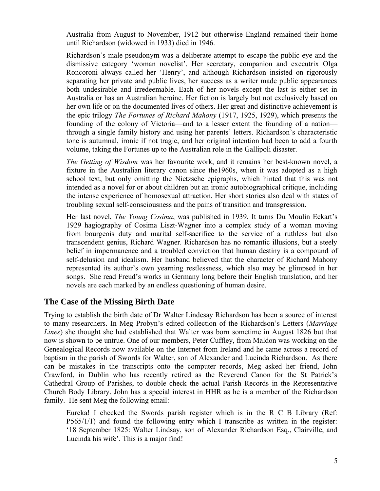Australia from August to November, 1912 but otherwise England remained their home until Richardson (widowed in 1933) died in 1946.

Richardson's male pseudonym was a deliberate attempt to escape the public eye and the dismissive category 'woman novelist'. Her secretary, companion and executrix Olga Roncoroni always called her 'Henry', and although Richardson insisted on rigorously separating her private and public lives, her success as a writer made public appearances both undesirable and irredeemable. Each of her novels except the last is either set in Australia or has an Australian heroine. Her fiction is largely but not exclusively based on her own life or on the documented lives of others. Her great and distinctive achievement is the epic trilogy *The Fortunes of Richard Mahony* (1917, 1925, 1929), which presents the founding of the colony of Victoria—and to a lesser extent the founding of a nation through a single family history and using her parents' letters. Richardson's characteristic tone is autumnal, ironic if not tragic, and her original intention had been to add a fourth volume, taking the Fortunes up to the Australian role in the Gallipoli disaster.

*The Getting of Wisdom* was her favourite work, and it remains her best-known novel, a fixture in the Australian literary canon since the1960s, when it was adopted as a high school text, but only omitting the Nietzsche epigraphs, which hinted that this was not intended as a novel for or about children but an ironic autobiographical critique, including the intense experience of homosexual attraction. Her short stories also deal with states of troubling sexual self-consciousness and the pains of transition and transgression.

Her last novel, *The Young Cosima*, was published in 1939. It turns Du Moulin Eckart's 1929 hagiography of Cosima Liszt-Wagner into a complex study of a woman moving from bourgeois duty and marital self-sacrifice to the service of a ruthless but also transcendent genius, Richard Wagner. Richardson has no romantic illusions, but a steely belief in impermanence and a troubled conviction that human destiny is a compound of self-delusion and idealism. Her husband believed that the character of Richard Mahony represented its author's own yearning restlessness, which also may be glimpsed in her songs. She read Freud's works in Germany long before their English translation, and her novels are each marked by an endless questioning of human desire.

#### **The Case of the Missing Birth Date**

Trying to establish the birth date of Dr Walter Lindesay Richardson has been a source of interest to many researchers. In Meg Probyn's edited collection of the Richardson's Letters (*Marriage Lines*) she thought she had established that Walter was born sometime in August 1826 but that now is shown to be untrue. One of our members, Peter Cuffley, from Maldon was working on the Genealogical Records now available on the Internet from Ireland and he came across a record of baptism in the parish of Swords for Walter, son of Alexander and Lucinda Richardson. As there can be mistakes in the transcripts onto the computer records, Meg asked her friend, John Crawford, in Dublin who has recently retired as the Reverend Canon for the St Patrick's Cathedral Group of Parishes, to double check the actual Parish Records in the Representative Church Body Library. John has a special interest in HHR as he is a member of the Richardson family. He sent Meg the following email:

Eureka! I checked the Swords parish register which is in the R C B Library (Ref: P565/1/1) and found the following entry which I transcribe as written in the register: '18 September 1825: Walter Lindsay, son of Alexander Richardson Esq., Clairville, and Lucinda his wife'. This is a major find!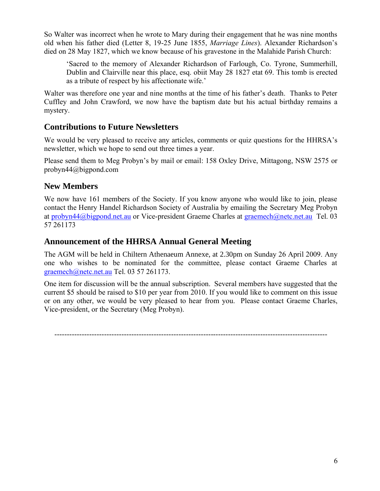So Walter was incorrect when he wrote to Mary during their engagement that he was nine months old when his father died (Letter 8, 19-25 June 1855, *Marriage Lines*). Alexander Richardson's died on 28 May 1827, which we know because of his gravestone in the Malahide Parish Church:

'Sacred to the memory of Alexander Richardson of Farlough, Co. Tyrone, Summerhill, Dublin and Clairville near this place, esq. obiit May 28 1827 etat 69. This tomb is erected as a tribute of respect by his affectionate wife.'

Walter was therefore one year and nine months at the time of his father's death. Thanks to Peter Cuffley and John Crawford, we now have the baptism date but his actual birthday remains a mystery.

# **Contributions to Future Newsletters**

We would be very pleased to receive any articles, comments or quiz questions for the HHRSA's newsletter, which we hope to send out three times a year.

Please send them to Meg Probyn's by mail or email: 158 Oxley Drive, Mittagong, NSW 2575 or probyn44@bigpond.com

## **New Members**

We now have 161 members of the Society. If you know anyone who would like to join, please contact the Henry Handel Richardson Society of Australia by emailing the Secretary Meg Probyn at [probyn44@bigpond.net.au](mailto:probyn44@bigpond.net.au) or Vice-president Graeme Charles at [graemech@netc.net.au](mailto:graemech@netc.net.au) Tel. 03 57 261173

# **Announcement of the HHRSA Annual General Meeting**

The AGM will be held in Chiltern Athenaeum Annexe, at 2.30pm on Sunday 26 April 2009. Any one who wishes to be nominated for the committee, please contact Graeme Charles at [graemech@netc.net.au](mailto:graemech@netc.net.au) Tel. 03 57 261173.

One item for discussion will be the annual subscription. Several members have suggested that the current \$5 should be raised to \$10 per year from 2010. If you would like to comment on this issue or on any other, we would be very pleased to hear from you. Please contact Graeme Charles, Vice-president, or the Secretary (Meg Probyn).

--------------------------------------------------------------------------------------------------------------